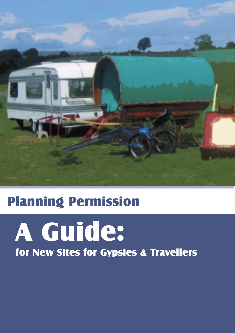

# Planning Permission

# for New Sites for Gypsies & Travellers A Guide: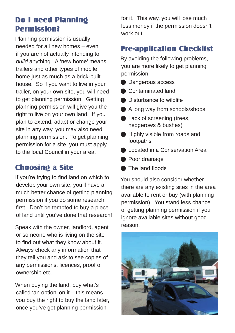#### Do I need Planning Permission?

Planning permission is usually needed for all new homes – even if you are not actually intending to *build* anything. A 'new home' means trailers and other types of mobile home just as much as a brick-built house. So if you want to live in your trailer, on your own site, you will need to get planning permission. Getting planning permission will give you the right to live on your own land. If you plan to extend, adapt or change your site in any way, you may also need planning permission. To get planning permission for a site, you must apply to the local Council in your area.

## Choosing a Site

If you're trying to find land on which to develop your own site, you'll have a much better chance of getting planning permission if you do some research first. Don't be tempted to buy a piece of land until you've done that research!

Speak with the owner, landlord, agent or someone who is living on the site to find out what they know about it. Always check any information that they tell you and ask to see copies of any permissions, licences, proof of ownership etc.

When buying the land, buy what's called 'an option' on  $it$  – this means you buy the right to buy the land later, once you've got planning permission

for it. This way, you will lose much less money if the permission doesn't work out.

#### Pre-application Checklist

By avoiding the following problems, you are more likely to get planning permission:

- **Dangerous access**
- **Contaminated land**
- **Disturbance to wildlife**
- A long way from schools/shops
- Lack of screening (trees, hedgerows & bushes)
- **Highly visible from roads and** footpaths
- **Located in a Conservation Area**
- **Poor drainage**
- **The land floods**

You should also consider whether there are any existing sites in the area available to rent or buy (with planning permission). You stand less chance of getting planning permission if you ignore available sites without good reason.

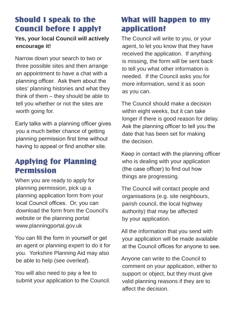#### Should I speak to the Council before I apply?

#### **Yes, your local Council will actively encourage it!**

Narrow down your search to two or three possible sites and then arrange an appointment to have a chat with a planning officer. Ask them about the sites' planning histories and what they think of them – they should be able to tell you whether or not the sites are worth going for.

Early talks with a planning officer gives you a much better chance of getting planning permission first time without having to appeal or find another site.

#### Applying for Planning Permission

When you are ready to apply for planning permission, pick up a planning application form from your local Council offices. Or, you can download the form from the Council's website or the planning portal: www.planningportal.gov.uk

You can fill the form in yourself or get an agent or planning expert to do it for you. Yorkshire Planning Aid may also be able to help (see overleaf).

You will also need to pay a fee to submit your application to the Council.

### What will happen to my application?

The Council will write to you, or your agent, to let you know that they have received the application. If anything is missing, the form will be sent back to tell you what other information is needed. If the Council asks you for more information, send it as soon as you can.

The Council should make a decision within eight weeks, but it can take longer if there is good reason for delay. Ask the planning officer to tell you the date that has been set for making the decision.

Keep in contact with the planning officer who is dealing with your application (the case officer) to find out how things are progressing.

The Council will contact people and organisations (e.g. site neighbours, parish council, the local highway authority) that may be affected by your application.

All the information that you send with your application will be made available at the Council offices for anyone to see.

Anyone can write to the Council to comment on your application, either to support or object, but they must give valid planning reasons if they are to affect the decision.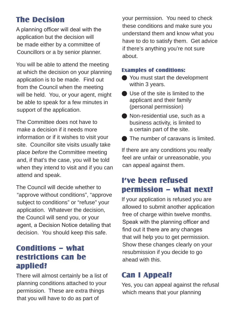### The Decision

A planning officer will deal with the application but the decision will be made either by a committee of Councillors or a by senior planner.

You will be able to attend the meeting at which the decision on your planning application is to be made. Find out from the Council when the meeting will be held. You, or your agent, might be able to speak for a few minutes in support of the application.

The Committee does not have to make a decision if it needs more information or if it wishes to visit your site. Councillor site visits usually take place *before* the Committee meeting and, if that's the case, you will be told when they intend to visit and if you can attend and speak.

The Council will decide whether to "approve without conditions", "approve subject to conditions" or "refuse" your application. Whatever the decision, the Council will send you, or your agent, a Decision Notice detailing that decision. You should keep this safe.

#### Conditions – what restrictions can be applied?

There will almost certainly be a list of planning conditions attached to your permission. These are extra things that you will have to do as part of

your permission. You need to check these conditions and make sure you understand them and know what you have to do to satisfy them. Get advice if there's anything you're not sure about.

#### Examples of conditions:

- You must start the development within 3 years.
- $\bigcirc$  Use of the site is limited to the applicant and their family (personal permission)
- Non-residential use, such as a business activity, is limited to a certain part of the site.
- **■** The number of caravans is limited.

If there are any conditions you really feel are unfair or unreasonable, you can appeal against them.

#### I've been refused permission – what next?

If your application is refused you are allowed to submit another application free of charge within twelve months. Speak with the planning officer and find out it there are any changes that will help you to get permission. Show these changes clearly on your resubmission if you decide to go ahead with this.

# Can I Appeal?

Yes, you can appeal against the refusal which means that your planning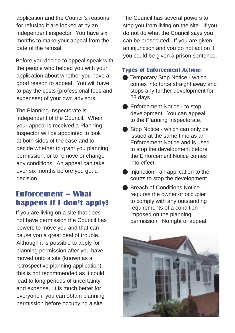application and the Council's reasons for refusing it are looked at by an independent inspector. You have six months to make your appeal from the date of the refusal.

Before you decide to appeal speak with the people who helped you with your application about whether you have a good reason to appeal. You will have to pay the costs (professional fees and expenses) of your own advisors.

The Planning Inspectorate is independent of the Council. When your appeal is received a Planning Inspector will be appointed to look at both sides of the case and to decide whether to grant you planning permission, or to remove or change any conditions. An appeal can take over six months before you get a decision.

#### Enforcement – What happens if I don't apply?

If you are living on a site that does not have permission the Council has powers to move you and that can cause you a great deal of trouble. Although it is possible to apply for planning permission after you have moved onto a site (known as a retrospective planning application), this is not recommended as it could lead to long periods of uncertainty and expense. It is much better for everyone if you can obtain planning permission before occupying a site.

The Council has several powers to stop you from living on the site. If you do not do what the Council says you can be prosecuted. If you are given an injunction and you do not act on it you could be given a prison sentence.

#### Types of Enforcement Action:-

- **l** Temporary Stop Notice which comes into force straight away and stops any further development for 28 days.
- **Enforcement Notice to stop** development. You can appeal to the Planning Inspectorate.
- l Stop Notice which can only be issued at the same time as an Enforcement Notice and is used to stop the development before the Enforcement Notice comes into effect.
- $\bullet$  Injunction an application to the courts to stop the development.
- l Breach of Conditions Notice requires the owner or occupier to comply with any outstanding requirements of a condition imposed on the planning permission. No right of appeal.